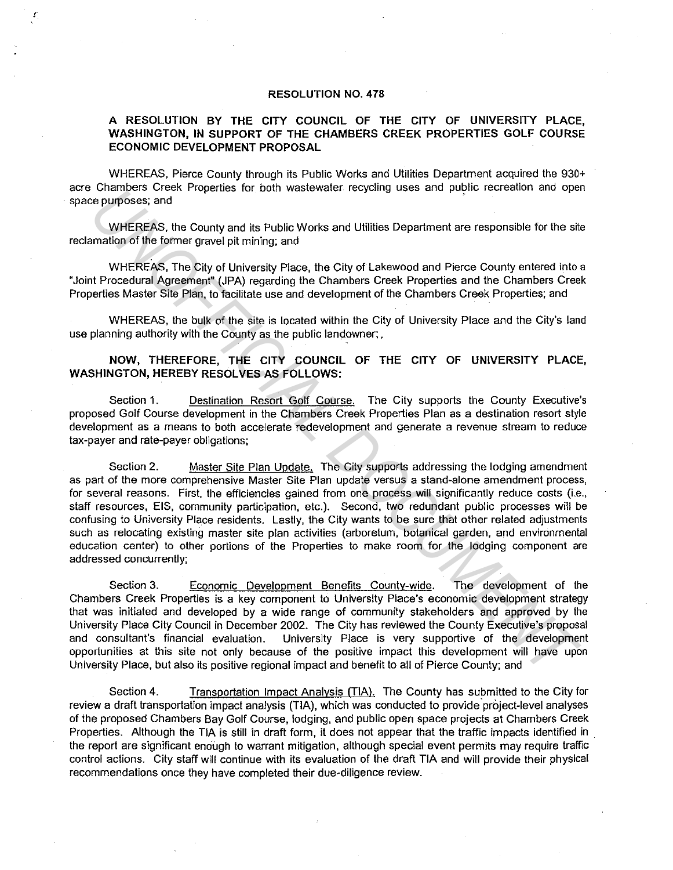## **RESOLUTION NO. 478**

## **A RESOLUTION BY THE CITY COUNCIL OF THE CITY OF UNIVERSITY PLACE, WASHINGTON, IN SUPPORT OF THE CHAMBERS CREEK PROPERTIES GOLF COURSE ECONOMIC DEVELOPMENT PROPOSAL**

WHEREAS. Pierce County through its Public Works and Utilities Department acquired the 930+ acre Chambers Creek Properties for both wastewater recycling uses and public recreation and open space purposes; and

WHEREAS, the County and its Public Works and Utilities Department are responsible for the site reclamation of the former gravel pit mining; and

WHEREAS, The City of University Place, the City of Lakewood and Pierce County entered into a "Joint Procedural Agreement" (JPA) regarding the Chambers Creek Properties and the Chambers Creek Properties Master Site Plan, to facilitate use and development of the Chambers Creek Properties; and

WHEREAS, the bulk of the site is located within the City of University Place and the City's land use planning authority with the County as the public landowner;.

## **NOW, THEREFORE, THE CITY COUNCIL OF THE CITY OF UNIVERSITY PLACE, WASHINGTON, HEREBY RESOLVES AS FOLLOWS:**

Section 1. Destination Resort Golf Course. The City supports the County Executive's proposed Golf Course development in the Chambers Creek Properties Plan as a destination resort style development as a means to both accelerate redevelopment and generate a revenue stream to reduce tax-payer and rate-payer obligations;

Section 2. Master Site Plan Update. The City supports addressing the lodging amendment as part of the more comprehensive Master Site Plan update versus a stand-alone amendment process, for several reasons. First, the efficiencies gained from one process will significantly reduce costs (i.e., staff resources, EIS, community participation, etc.). Second, two redundant public processes will be confusing to University Place residents. Lastly, the City wants to be sure that other related adjustments such as relocating existing master site plan activities (arboretum, botanical garden, and environmental education center) to other portions of the Properties to make room for the lodging component are addressed concurrently; Unimate Steal methods in both was the public Works and Utilities Department are responsible for the simulation of the former grave) pit mining; and<br>
WHEREAS, the County and its Public Works and Utilities Department are res

Section 3. Economic Development Benefits County-wide. The development of the Chambers Creek Properties is a key component to University Place's economic development strategy that was initiated and developed by a wide range of community stakeholders and approved by the University Place City Council in December 2002. The City has reviewed the County Executive's proposal and consultant's financial evaluation. University Place is very supportive of the development opportunities at this site not only because of the positive impact this development will have upon University Place, but also its positive regional impact and benefit to all of Pierce County; and

Section 4. Transportation Impact Analysis (TIA). The County has submitted to the City for review a draft transportation impact analysis (TIA), which was conducted to provide project-level analyses of the proposed Chambers Bay Golf Course, lodging, and public open space projects at Chambers Creek Properties. Although the TIA is still in draft form, it does not appear that the traffic impacts identified in the report are significant enough to warrant mitigation, although special event permits may require traffic control actions. City staff will continue with its evaluation of the draft TIA and will provide their physical recommendations once they have completed their due-diligence review.